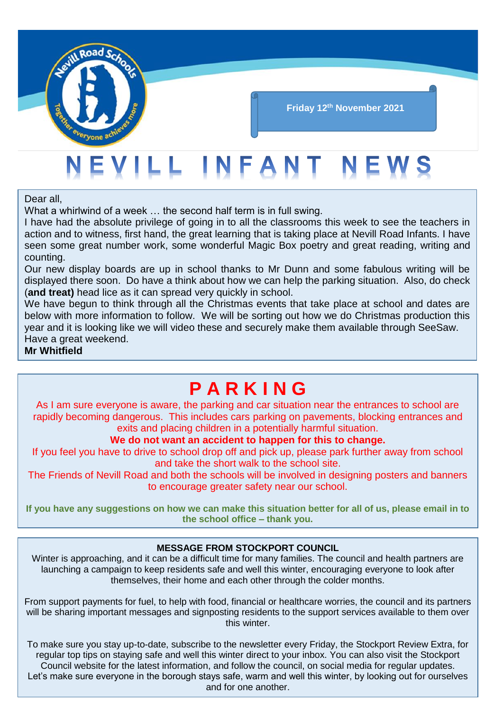

#### **Friday 12th November 2021**

## EVILL INFANT NEWS

Dear all,

What a whirlwind of a week … the second half term is in full swing.

I have had the absolute privilege of going in to all the classrooms this week to see the teachers in action and to witness, first hand, the great learning that is taking place at Nevill Road Infants. I have seen some great number work, some wonderful Magic Box poetry and great reading, writing and counting.

Our new display boards are up in school thanks to Mr Dunn and some fabulous writing will be displayed there soon. Do have a think about how we can help the parking situation. Also, do check (**and treat)** head lice as it can spread very quickly in school.

We have begun to think through all the Christmas events that take place at school and dates are below with more information to follow. We will be sorting out how we do Christmas production this year and it is looking like we will video these and securely make them available through SeeSaw. Have a great weekend.

#### **Mr Whitfield**

## **P A R K I N G**

As I am sure everyone is aware, the parking and car situation near the entrances to school are rapidly becoming dangerous. This includes cars parking on pavements, blocking entrances and exits and placing children in a potentially harmful situation.

#### **We do not want an accident to happen for this to change.**

If you feel you have to drive to school drop off and pick up, please park further away from school and take the short walk to the school site.

The Friends of Nevill Road and both the schools will be involved in designing posters and banners to encourage greater safety near our school.

**If you have any suggestions on how we can make this situation better for all of us, please email in to the school office – thank you.**

#### **MESSAGE FROM STOCKPORT COUNCIL**

Winter is approaching, and it can be a difficult time for many families. The council and health partners are launching a campaign to keep residents safe and well this winter, encouraging everyone to look after themselves, their home and each other through the colder months.

From support payments for fuel, to help with food, financial or healthcare worries, the council and its partners will be sharing important messages and signposting residents to the support services available to them over this winter.

To make sure you stay up-to-date, subscribe to the newsletter every Friday, the Stockport Review Extra, for regular top tips on staying safe and well this winter direct to your inbox. You can also visit the Stockport Council website for the latest information, and follow the council, on social media for regular updates. Let's make sure everyone in the borough stays safe, warm and well this winter, by looking out for ourselves and for one another.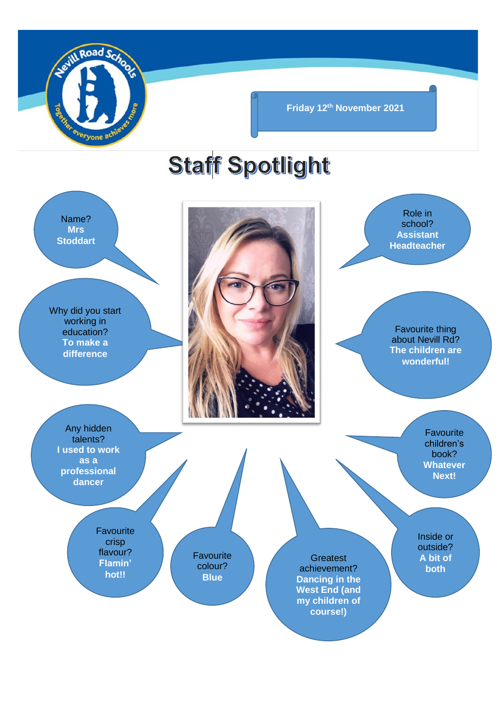

**Friday 12th November 2021**

# **Staff Spotlight**

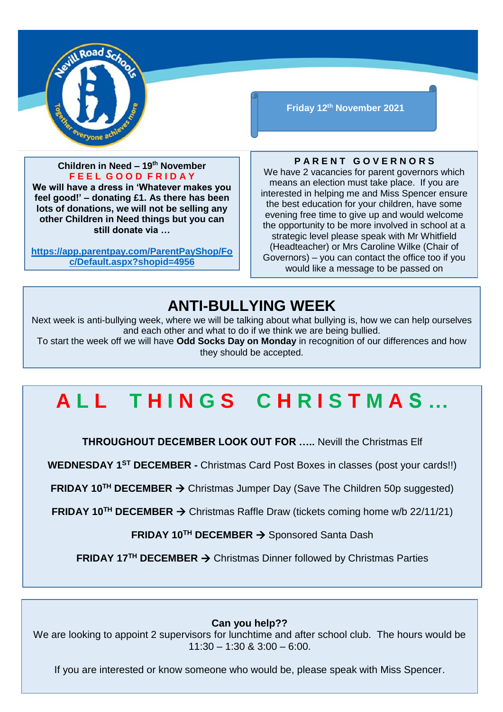

**Children in Need – 19th November F E E L G O O D F R I D A Y**

**We will have a dress in 'Whatever makes you feel good!' – donating £1. As there has been lots of donations, we will not be selling any other Children in Need things but you can still donate via …** 

**[https://app.parentpay.com/ParentPayShop/Fo](https://app.parentpay.com/ParentPayShop/Foc/Default.aspx?shopid=4956) [c/Default.aspx?shopid=4956](https://app.parentpay.com/ParentPayShop/Foc/Default.aspx?shopid=4956)**

**Friday 12th November 2021**

#### **P A R E N T G O V E R N O R S**

We have 2 vacancies for parent governors which means an election must take place. If you are interested in helping me and Miss Spencer ensure the best education for your children, have some evening free time to give up and would welcome the opportunity to be more involved in school at a strategic level please speak with Mr Whitfield (Headteacher) or Mrs Caroline Wilke (Chair of Governors) – you can contact the office too if you would like a message to be passed on

### **ANTI-BULLYING WEEK**

Next week is anti-bullying week, where we will be talking about what bullying is, how we can help ourselves and each other and what to do if we think we are being bullied.

To start the week off we will have **Odd Socks Day on Monday** in recognition of our differences and how they should be accepted.

## **A L L T H I N G S C H R I S T M A S …**

**THROUGHOUT DECEMBER LOOK OUT FOR …..** Nevill the Christmas Elf

**WEDNESDAY 1ST DECEMBER -** Christmas Card Post Boxes in classes (post your cards!!)

**FRIDAY 10<sup>TH</sup> DECEMBER → Christmas Jumper Day (Save The Children 50p suggested)** 

**FRIDAY 10<sup>™</sup> DECEMBER → Christmas Raffle Draw (tickets coming home w/b 22/11/21)** 

**FRIDAY 10<sup>™</sup> DECEMBER → Sponsored Santa Dash** 

**FRIDAY 17<sup>™</sup> DECEMBER → Christmas Dinner followed by Christmas Parties** 

#### **Can you help??**

We are looking to appoint 2 supervisors for lunchtime and after school club. The hours would be  $11:30 - 1:30$  &  $3:00 - 6:00$ .

If you are interested or know someone who would be, please speak with Miss Spencer.